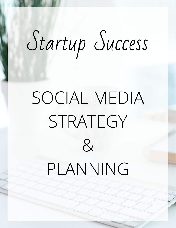# Startup Success

## SOCIAL MEDIA STRATEGY  $\mathcal{R}_{\mathcal{L}}$ PLANNING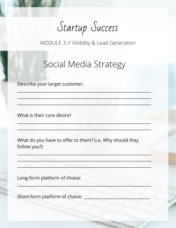Startup Success

### Social Media Strategy

Describe your target customer:

What is their core desire?

What do you have to offer to them? (i.e. Why should they follow you?)

Long-form platform of choice:

Short-form platform of choice: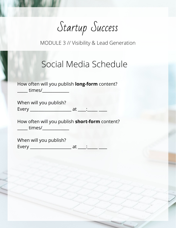Startup Success

#### Social Media Schedule

How often will you publish **long-form** content? \_\_\_\_\_ times/\_\_\_\_\_\_\_\_\_\_\_\_\_

When will you publish?

Every \_\_\_\_\_\_\_\_\_\_\_\_\_\_\_\_\_\_\_\_ at \_\_\_\_:\_\_\_\_\_ \_\_\_\_

How often will you publish **short-form** content?  $\frac{1}{2}$  times/ $\frac{1}{2}$ 

When will you publish?

Every \_\_\_\_\_\_\_\_\_\_\_\_\_\_\_\_\_\_\_\_ at \_\_\_\_:\_\_\_\_\_ \_\_\_\_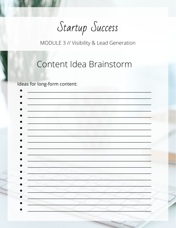Startup Success

#### Content Idea Brainstorm

Ideas for long-form content: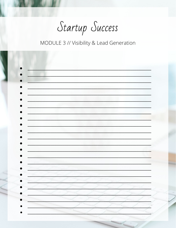Startup Success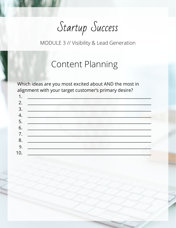Startup Success

#### **Content Planning**

Which ideas are you most excited about AND the most in alignment with your target customer's primary desire?

| 1.             |                                                                                                                                                                                                                                |
|----------------|--------------------------------------------------------------------------------------------------------------------------------------------------------------------------------------------------------------------------------|
| 2.             | PLE TENDENT PROPERTY                                                                                                                                                                                                           |
| 3.             |                                                                                                                                                                                                                                |
| 4              | <u> Danis Singa</u>                                                                                                                                                                                                            |
| 5.             |                                                                                                                                                                                                                                |
| 6.             | <u>a de la Petro de Primeiro</u>                                                                                                                                                                                               |
|                |                                                                                                                                                                                                                                |
| 8 <sub>o</sub> | The Committee of the Committee of the Committee of the Committee of the Committee of the Committee of the Committee of the Committee of the Committee of the Committee of the Committee of the Committee of the Committee of t |
| 9.             |                                                                                                                                                                                                                                |
| 10.            | $\mathcal{L}=\mathcal{L}^{\mathcal{L}}$ , $\mathcal{L}^{\mathcal{L}}$ ,                                                                                                                                                        |